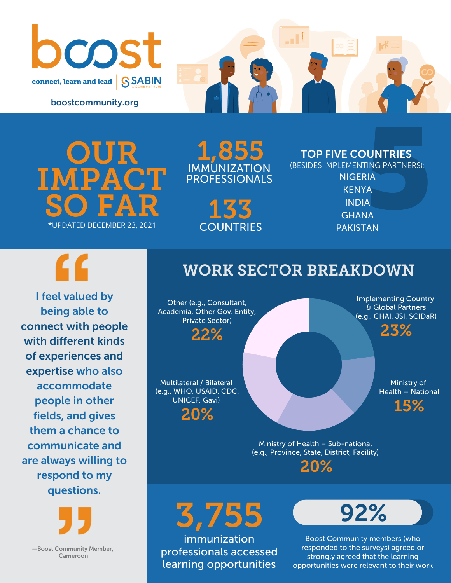

boostcommunity.org

OUR IMPACT  $SO$   $FAR$ <br>\*UPDATED DECEMBER 23, 2021

1,855 IMMUNIZATION PROFESSIONALS

> 133 **COUNTRIES**

TOP FIVE COUNTRIES

**UNTRIES**<br>Ting Partners):<br>IA<br>A<br>A<br>IA<br>IA (BESIDES IMPLEMENTING PARTNERS): **NIGERIA KENYA** INDIA **GHANA** PAKISTAN



I feel valued by being able to connect with people with different kinds of experiences and expertise who also accommodate people in other fields, and gives them a chance to communicate and are always willing to respond to my questions.



Other (e.g., Consultant, Academia, Other Gov. Entity, Private Sector) 22%

Multilateral / Bilateral (e.g., WHO, USAID, CDC, UNICEF, Gavi) 20%

Implementing Country & Global Partners (e.g., CHAI, JSI, SCIDaR)

23%

Ministry of Health – National

15%

Ministry of Health – Sub-national (e.g., Province, State, District, Facility) 20%

3,755 immunization professionals accessed learning opportunities



Boost Community members (who responded to the surveys) agreed or strongly agreed that the learning opportunities were relevant to their work

—Boost Community Member, Cameroon